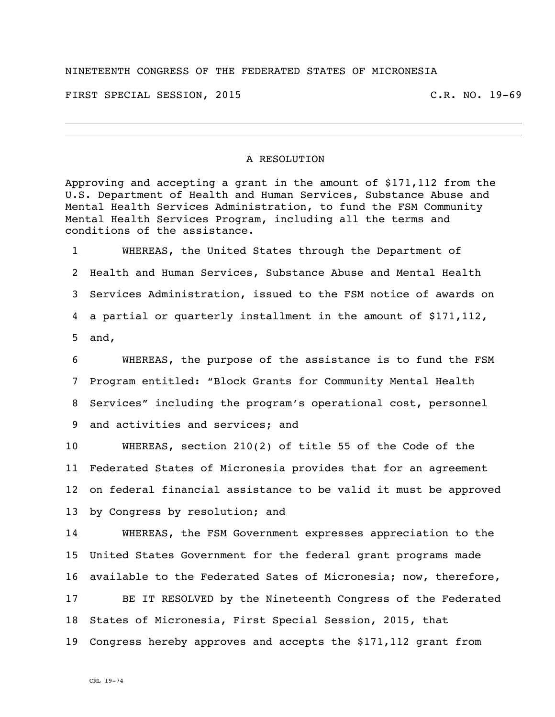## NINETEENTH CONGRESS OF THE FEDERATED STATES OF MICRONESIA

FIRST SPECIAL SESSION, 2015 C.R. NO. 19-69

## A RESOLUTION

Approving and accepting a grant in the amount of \$171,112 from the U.S. Department of Health and Human Services, Substance Abuse and Mental Health Services Administration, to fund the FSM Community Mental Health Services Program, including all the terms and conditions of the assistance.

 WHEREAS, the United States through the Department of Health and Human Services, Substance Abuse and Mental Health Services Administration, issued to the FSM notice of awards on a partial or quarterly installment in the amount of \$171,112, and,

 WHEREAS, the purpose of the assistance is to fund the FSM Program entitled: "Block Grants for Community Mental Health Services" including the program's operational cost, personnel and activities and services; and

 WHEREAS, section 210(2) of title 55 of the Code of the Federated States of Micronesia provides that for an agreement on federal financial assistance to be valid it must be approved by Congress by resolution; and

 WHEREAS, the FSM Government expresses appreciation to the United States Government for the federal grant programs made available to the Federated Sates of Micronesia; now, therefore, BE IT RESOLVED by the Nineteenth Congress of the Federated States of Micronesia, First Special Session, 2015, that Congress hereby approves and accepts the \$171,112 grant from